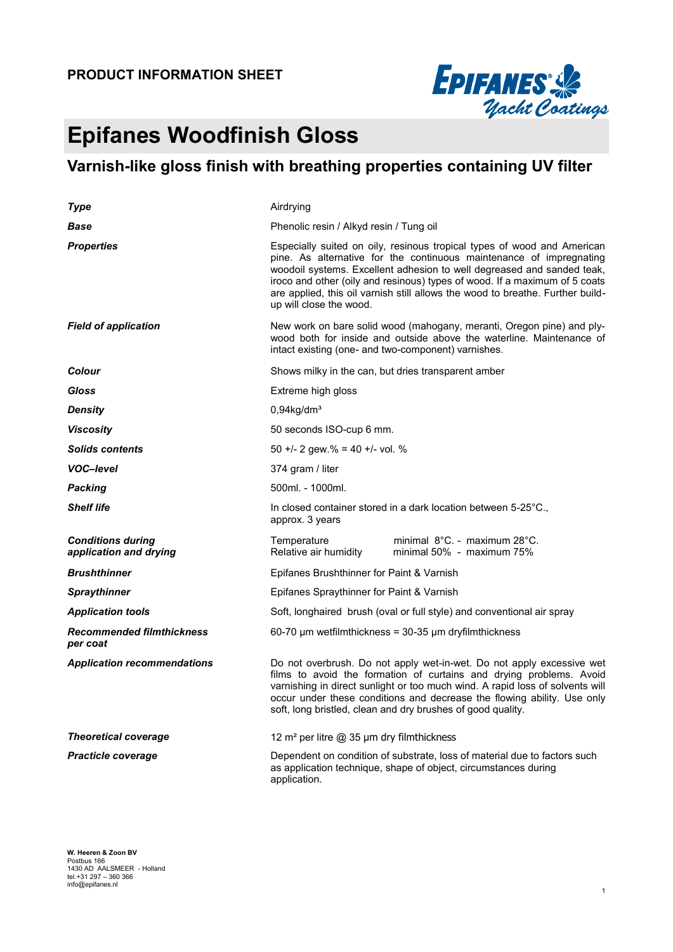

# **Epifanes Woodfinish Gloss**

## **Varnish-like gloss finish with breathing properties containing UV filter**

| Type                                               | Airdrying                                                                                                                                                                                                                                                                                                                                                                                                           |  |  |  |  |
|----------------------------------------------------|---------------------------------------------------------------------------------------------------------------------------------------------------------------------------------------------------------------------------------------------------------------------------------------------------------------------------------------------------------------------------------------------------------------------|--|--|--|--|
| Base                                               | Phenolic resin / Alkyd resin / Tung oil                                                                                                                                                                                                                                                                                                                                                                             |  |  |  |  |
| <b>Properties</b>                                  | Especially suited on oily, resinous tropical types of wood and American<br>pine. As alternative for the continuous maintenance of impregnating<br>woodoil systems. Excellent adhesion to well degreased and sanded teak,<br>iroco and other (oily and resinous) types of wood. If a maximum of 5 coats<br>are applied, this oil varnish still allows the wood to breathe. Further build-<br>up will close the wood. |  |  |  |  |
| <b>Field of application</b>                        | New work on bare solid wood (mahogany, meranti, Oregon pine) and ply-<br>wood both for inside and outside above the waterline. Maintenance of<br>intact existing (one- and two-component) varnishes.                                                                                                                                                                                                                |  |  |  |  |
| <b>Colour</b>                                      | Shows milky in the can, but dries transparent amber                                                                                                                                                                                                                                                                                                                                                                 |  |  |  |  |
| Gloss                                              | Extreme high gloss                                                                                                                                                                                                                                                                                                                                                                                                  |  |  |  |  |
| Density                                            | $0,94$ kg/dm <sup>3</sup>                                                                                                                                                                                                                                                                                                                                                                                           |  |  |  |  |
| <b>Viscosity</b>                                   | 50 seconds ISO-cup 6 mm.                                                                                                                                                                                                                                                                                                                                                                                            |  |  |  |  |
| <b>Solids contents</b>                             | 50 +/- 2 gew.% = 40 +/- vol. %                                                                                                                                                                                                                                                                                                                                                                                      |  |  |  |  |
| <b>VOC-level</b>                                   | 374 gram / liter                                                                                                                                                                                                                                                                                                                                                                                                    |  |  |  |  |
| Packing                                            | 500ml. - 1000ml.                                                                                                                                                                                                                                                                                                                                                                                                    |  |  |  |  |
| <b>Shelf life</b>                                  | In closed container stored in a dark location between 5-25 °C.,<br>approx. 3 years                                                                                                                                                                                                                                                                                                                                  |  |  |  |  |
| <b>Conditions during</b><br>application and drying | minimal $8^{\circ}$ C. - maximum 28 $^{\circ}$ C.<br>Temperature<br>minimal 50% - maximum 75%<br>Relative air humidity                                                                                                                                                                                                                                                                                              |  |  |  |  |
| <b>Brushthinner</b>                                | Epifanes Brushthinner for Paint & Varnish                                                                                                                                                                                                                                                                                                                                                                           |  |  |  |  |
| <b>Spraythinner</b>                                | Epifanes Spraythinner for Paint & Varnish                                                                                                                                                                                                                                                                                                                                                                           |  |  |  |  |
| <b>Application tools</b>                           | Soft, longhaired brush (oval or full style) and conventional air spray                                                                                                                                                                                                                                                                                                                                              |  |  |  |  |
| <b>Recommended filmthickness</b><br>per coat       | $60-70$ µm wetfilmthickness = 30-35 µm dryfilmthickness                                                                                                                                                                                                                                                                                                                                                             |  |  |  |  |
| <b>Application recommendations</b>                 | Do not overbrush. Do not apply wet-in-wet. Do not apply excessive wet<br>films to avoid the formation of curtains and drying problems. Avoid<br>varnishing in direct sunlight or too much wind. A rapid loss of solvents will<br>occur under these conditions and decrease the flowing ability. Use only<br>soft, long bristled, clean and dry brushes of good quality.                                             |  |  |  |  |
| <b>Theoretical coverage</b>                        | 12 m <sup>2</sup> per litre @ 35 µm dry filmthickness                                                                                                                                                                                                                                                                                                                                                               |  |  |  |  |
| <b>Practicle coverage</b>                          | Dependent on condition of substrate, loss of material due to factors such<br>as application technique, shape of object, circumstances during<br>application.                                                                                                                                                                                                                                                        |  |  |  |  |

**W. Heeren & Zoon BV**<br>Postbus 166<br>1430 AD AALSMEER - Holland<br>tel.+31 297 – 360 366<br>info@epifanes.nl